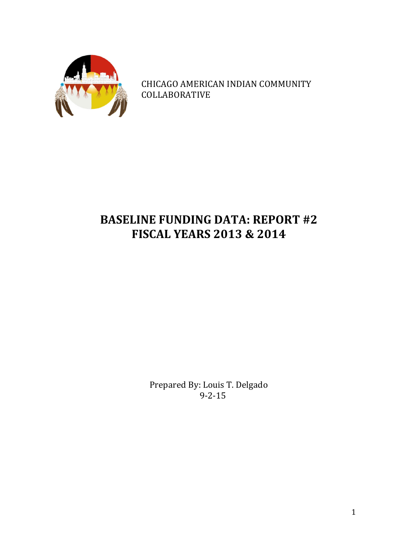

CHICAGO AMERICAN INDIAN COMMUNITY COLLABORATIVE

# **BASELINE FUNDING DATA: REPORT #2 FISCAL YEARS 2013 & 2014**

Prepared By: Louis T. Delgado 9-2-15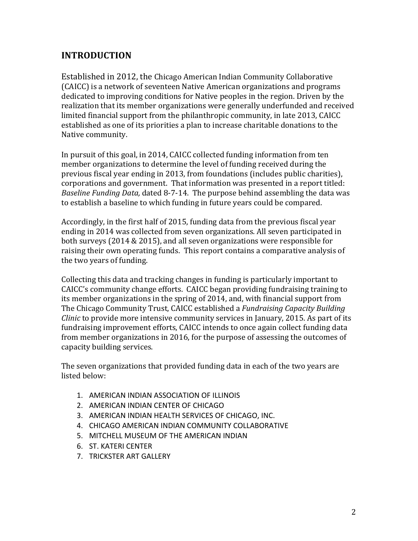## **INTRODUCTION**

Established in 2012, the Chicago American Indian Community Collaborative (CAICC) is a network of seventeen Native American organizations and programs dedicated to improving conditions for Native peoples in the region. Driven by the realization that its member organizations were generally underfunded and received limited financial support from the philanthropic community, in late 2013, CAICC established as one of its priorities a plan to increase charitable donations to the Native community.

In pursuit of this goal, in 2014, CAICC collected funding information from ten member organizations to determine the level of funding received during the previous fiscal year ending in 2013, from foundations (includes public charities), corporations and government. That information was presented in a report titled: *Baseline Funding Data,* dated 8-7-14. The purpose behind assembling the data was to establish a baseline to which funding in future years could be compared.

Accordingly, in the first half of 2015, funding data from the previous fiscal year ending in 2014 was collected from seven organizations. All seven participated in both surveys  $(2014 \& 2015)$ , and all seven organizations were responsible for raising their own operating funds. This report contains a comparative analysis of the two years of funding.

Collecting this data and tracking changes in funding is particularly important to CAICC's community change efforts. CAICC began providing fundraising training to its member organizations in the spring of 2014, and, with financial support from The Chicago Community Trust, CAICC established a *Fundraising Capacity Building Clinic* to provide more intensive community services in January, 2015. As part of its fundraising improvement efforts, CAICC intends to once again collect funding data from member organizations in 2016, for the purpose of assessing the outcomes of capacity building services.

The seven organizations that provided funding data in each of the two years are listed below:

- 1. AMERICAN INDIAN ASSOCIATION OF ILLINOIS
- 2. AMERICAN INDIAN CENTER OF CHICAGO
- 3. AMERICAN INDIAN HEALTH SERVICES OF CHICAGO, INC.
- 4. CHICAGO AMERICAN INDIAN COMMUNITY COLLABORATIVE
- 5. MITCHELL MUSEUM OF THE AMERICAN INDIAN
- 6. ST. KATERI CENTER
- 7. TRICKSTER ART GALLERY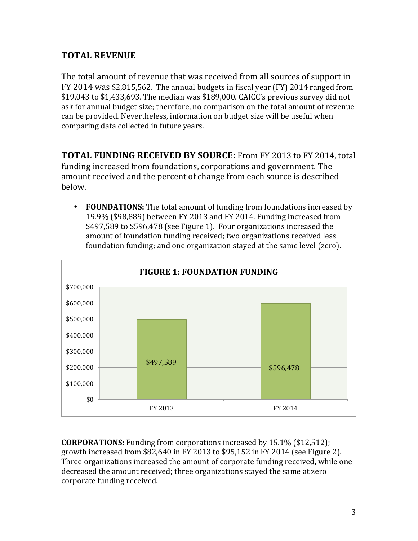## **TOTAL REVENUE**

The total amount of revenue that was received from all sources of support in FY 2014 was \$2,815,562. The annual budgets in fiscal year (FY) 2014 ranged from  $$19,043$  to  $$1,433,693$ . The median was  $$189,000$ . CAICC's previous survey did not ask for annual budget size; therefore, no comparison on the total amount of revenue can be provided. Nevertheless, information on budget size will be useful when comparing data collected in future years.

**TOTAL FUNDING RECEIVED BY SOURCE:** From FY 2013 to FY 2014, total funding increased from foundations, corporations and government. The amount received and the percent of change from each source is described below.

• **FOUNDATIONS:** The total amount of funding from foundations increased by 19.9% (\$98,889) between FY 2013 and FY 2014. Funding increased from \$497,589 to \$596,478 (see Figure 1). Four organizations increased the amount of foundation funding received; two organizations received less foundation funding; and one organization stayed at the same level (zero).



**CORPORATIONS:** Funding from corporations increased by 15.1% (\$12,512); growth increased from  $$82,640$  in FY 2013 to  $$95,152$  in FY 2014 (see Figure 2). Three organizations increased the amount of corporate funding received, while one decreased the amount received; three organizations stayed the same at zero corporate funding received.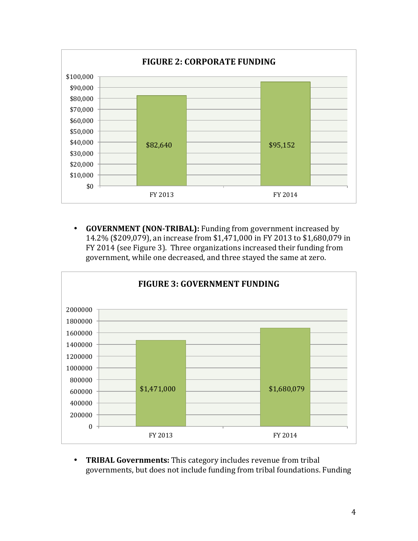

• GOVERNMENT (NON-TRIBAL): Funding from government increased by 14.2% (\$209,079), an increase from \$1,471,000 in FY 2013 to \$1,680,079 in FY 2014 (see Figure 3). Three organizations increased their funding from government, while one decreased, and three stayed the same at zero.



• **TRIBAL Governments:** This category includes revenue from tribal governments, but does not include funding from tribal foundations. Funding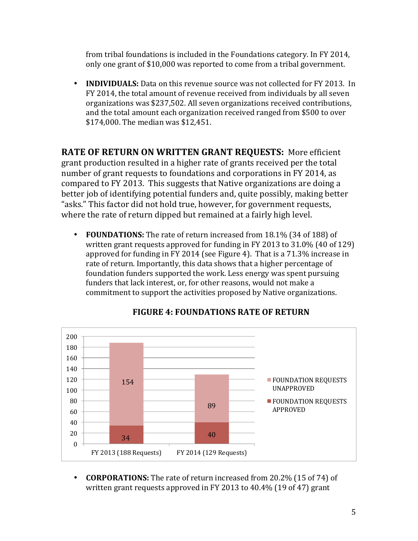from tribal foundations is included in the Foundations category. In FY 2014, only one grant of \$10,000 was reported to come from a tribal government.

• **INDIVIDUALS:** Data on this revenue source was not collected for FY 2013. In FY 2014, the total amount of revenue received from individuals by all seven organizations was \$237,502. All seven organizations received contributions, and the total amount each organization received ranged from \$500 to over \$174,000. The median was \$12,451.

**RATE OF RETURN ON WRITTEN GRANT REQUESTS: More efficient** grant production resulted in a higher rate of grants received per the total number of grant requests to foundations and corporations in FY 2014, as compared to FY 2013. This suggests that Native organizations are doing a better job of identifying potential funders and, quite possibly, making better "asks." This factor did not hold true, however, for government requests, where the rate of return dipped but remained at a fairly high level.

• **FOUNDATIONS:** The rate of return increased from 18.1% (34 of 188) of written grant requests approved for funding in FY 2013 to  $31.0\%$  (40 of 129) approved for funding in FY 2014 (see Figure 4). That is a  $71.3\%$  increase in rate of return. Importantly, this data shows that a higher percentage of foundation funders supported the work. Less energy was spent pursuing funders that lack interest, or, for other reasons, would not make a commitment to support the activities proposed by Native organizations.



### **FIGURE 4: FOUNDATIONS RATE OF RETURN**

• **CORPORATIONS:** The rate of return increased from 20.2% (15 of 74) of written grant requests approved in FY 2013 to  $40.4\%$  (19 of 47) grant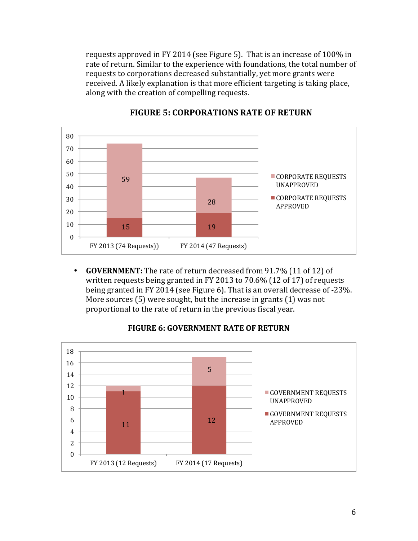requests approved in FY 2014 (see Figure 5). That is an increase of 100% in rate of return. Similar to the experience with foundations, the total number of requests to corporations decreased substantially, yet more grants were received. A likely explanation is that more efficient targeting is taking place, along with the creation of compelling requests.



#### **FIGURE 5: CORPORATIONS RATE OF RETURN**

• GOVERNMENT: The rate of return decreased from 91.7% (11 of 12) of written requests being granted in FY 2013 to  $70.6\%$  (12 of 17) of requests being granted in FY 2014 (see Figure 6). That is an overall decrease of  $-23\%$ . More sources  $(5)$  were sought, but the increase in grants  $(1)$  was not proportional to the rate of return in the previous fiscal year.



#### **FIGURE 6: GOVERNMENT RATE OF RETURN**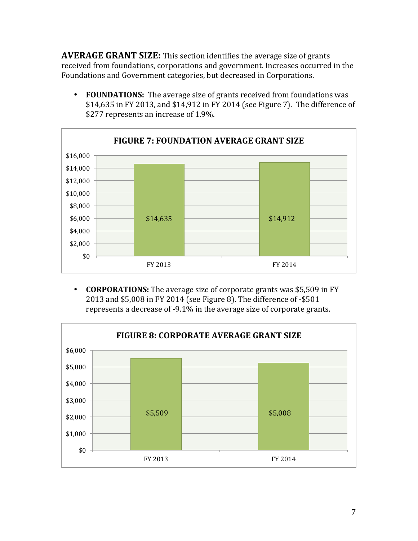**AVERAGE GRANT SIZE:** This section identifies the average size of grants received from foundations, corporations and government. Increases occurred in the Foundations and Government categories, but decreased in Corporations.

• FOUNDATIONS: The average size of grants received from foundations was \$14,635 in FY 2013, and \$14,912 in FY 2014 (see Figure 7). The difference of \$277 represents an increase of 1.9%.



• **CORPORATIONS:** The average size of corporate grants was \$5,509 in FY 2013 and \$5,008 in FY 2014 (see Figure 8). The difference of -\$501 represents a decrease of  $-9.1\%$  in the average size of corporate grants.

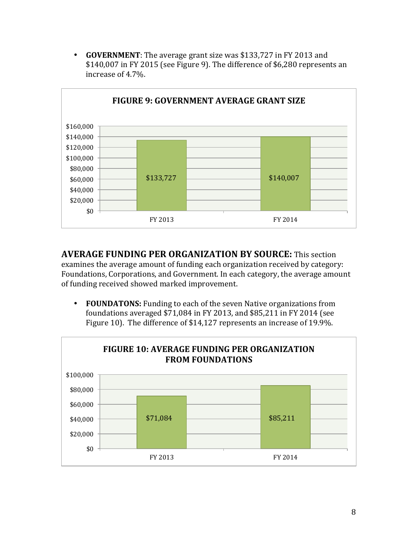

• **GOVERNMENT**: The average grant size was \$133,727 in FY 2013 and  $$140,007$  in FY 2015 (see Figure 9). The difference of \$6,280 represents an increase of 4.7%.

**AVERAGE FUNDING PER ORGANIZATION BY SOURCE:** This section examines the average amount of funding each organization received by category: Foundations, Corporations, and Government. In each category, the average amount of funding received showed marked improvement.

• **FOUNDATONS:** Funding to each of the seven Native organizations from foundations averaged  $$71,084$  in FY 2013, and  $$85,211$  in FY 2014 (see Figure 10). The difference of \$14,127 represents an increase of 19.9%.

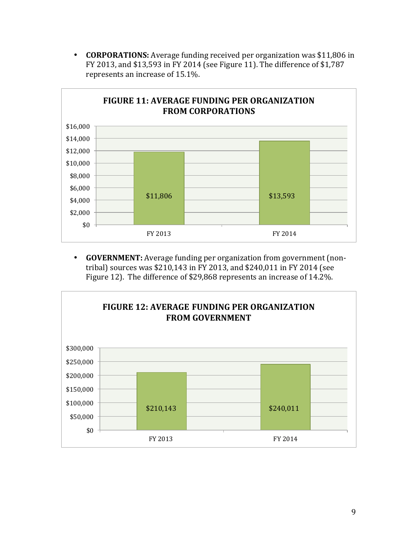• **CORPORATIONS:** Average funding received per organization was \$11,806 in FY 2013, and \$13,593 in FY 2014 (see Figure 11). The difference of \$1,787 represents an increase of 15.1%.



• **GOVERNMENT:** Average funding per organization from government (nontribal) sources was \$210,143 in FY 2013, and \$240,011 in FY 2014 (see Figure 12). The difference of \$29,868 represents an increase of 14.2%.

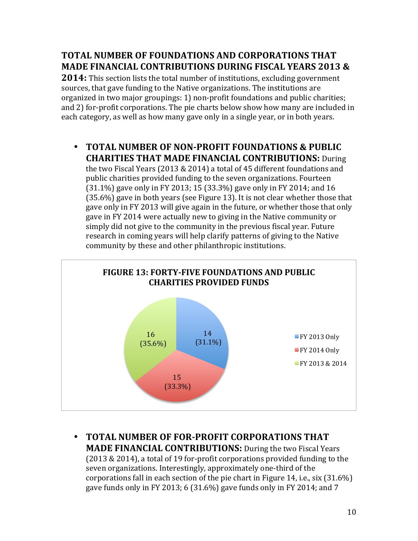## **TOTAL NUMBER OF FOUNDATIONS AND CORPORATIONS THAT MADE FINANCIAL CONTRIBUTIONS DURING FISCAL YEARS 2013 &**

**2014:** This section lists the total number of institutions, excluding government sources, that gave funding to the Native organizations. The institutions are organized in two major groupings: 1) non-profit foundations and public charities; and 2) for-profit corporations. The pie charts below show how many are included in each category, as well as how many gave only in a single year, or in both years.

**• TOTAL NUMBER OF NON-PROFIT FOUNDATIONS & PUBLIC CHARITIES THAT MADE FINANCIAL CONTRIBUTIONS:** During

the two Fiscal Years (2013  $& 2014$ ) a total of 45 different foundations and public charities provided funding to the seven organizations. Fourteen  $(31.1\%)$  gave only in FY 2013; 15 (33.3%) gave only in FY 2014; and 16  $(35.6\%)$  gave in both years (see Figure 13). It is not clear whether those that gave only in FY 2013 will give again in the future, or whether those that only gave in FY 2014 were actually new to giving in the Native community or simply did not give to the community in the previous fiscal year. Future research in coming years will help clarify patterns of giving to the Native community by these and other philanthropic institutions.



**• TOTAL NUMBER OF FOR-PROFIT CORPORATIONS THAT MADE FINANCIAL CONTRIBUTIONS:** During the two Fiscal Years (2013 & 2014), a total of 19 for-profit corporations provided funding to the seven organizations. Interestingly, approximately one-third of the corporations fall in each section of the pie chart in Figure 14, i.e., six  $(31.6\%)$ gave funds only in FY 2013; 6 (31.6%) gave funds only in FY 2014; and  $7$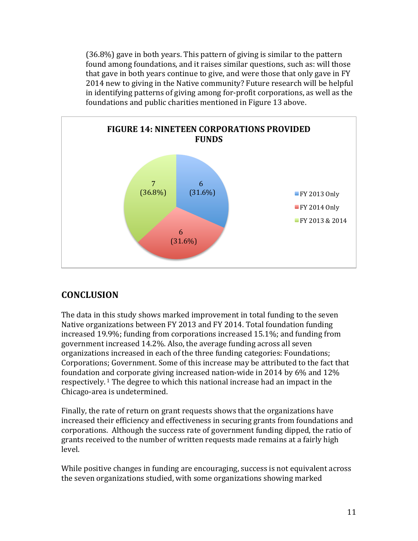$(36.8\%)$  gave in both years. This pattern of giving is similar to the pattern found among foundations, and it raises similar questions, such as: will those that gave in both years continue to give, and were those that only gave in FY 2014 new to giving in the Native community? Future research will be helpful in identifying patterns of giving among for-profit corporations, as well as the foundations and public charities mentioned in Figure 13 above.



## **CONCLUSION**

The data in this study shows marked improvement in total funding to the seven Native organizations between FY 2013 and FY 2014. Total foundation funding increased  $19.9\%$ ; funding from corporations increased  $15.1\%$ ; and funding from government increased 14.2%. Also, the average funding across all seven organizations increased in each of the three funding categories: Foundations; Corporations; Government. Some of this increase may be attributed to the fact that foundation and corporate giving increased nation-wide in 2014 by 6% and 12% respectively.<sup>1</sup> The degree to which this national increase had an impact in the Chicago-area is undetermined.

Finally, the rate of return on grant requests shows that the organizations have increased their efficiency and effectiveness in securing grants from foundations and corporations. Although the success rate of government funding dipped, the ratio of grants received to the number of written requests made remains at a fairly high level. 

While positive changes in funding are encouraging, success is not equivalent across the seven organizations studied, with some organizations showing marked